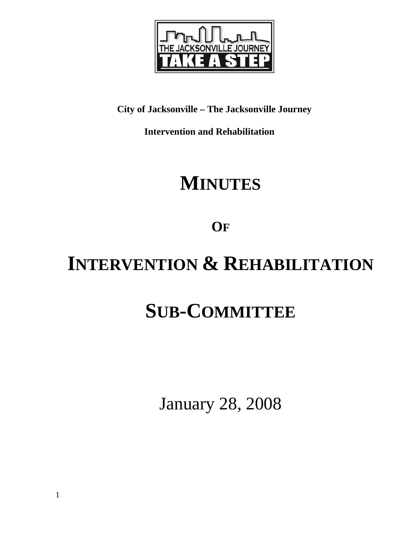

**City of Jacksonville – The Jacksonville Journey** 

 **Intervention and Rehabilitation** 

# **MINUTES**

**OF**

# **INTERVENTION & REHABILITATION**

# **SUB-COMMITTEE**

January 28, 2008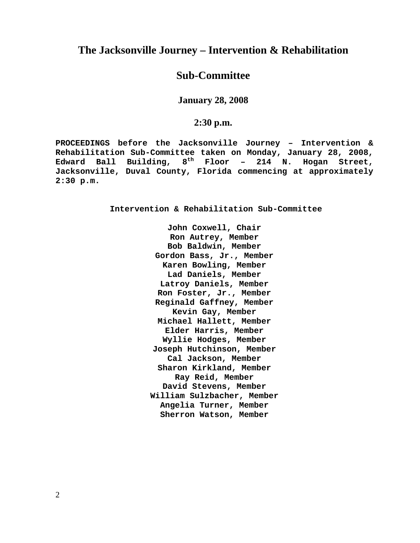## **The Jacksonville Journey – Intervention & Rehabilitation**

# **Sub-Committee**

**January 28, 2008** 

## **2:30 p.m.**

**PROCEEDINGS before the Jacksonville Journey – Intervention & Rehabilitation Sub-Committee taken on Monday, January 28, 2008, Edward Ball Building, 8th Floor – 214 N. Hogan Street, Jacksonville, Duval County, Florida commencing at approximately 2:30 p.m.** 

**Intervention & Rehabilitation Sub-Committee** 

**John Coxwell, Chair Ron Autrey, Member Bob Baldwin, Member Gordon Bass, Jr., Member Karen Bowling, Member Lad Daniels, Member Latroy Daniels, Member Ron Foster, Jr., Member Reginald Gaffney, Member Kevin Gay, Member Michael Hallett, Member Elder Harris, Member Wyllie Hodges, Member Joseph Hutchinson, Member Cal Jackson, Member Sharon Kirkland, Member Ray Reid, Member David Stevens, Member William Sulzbacher, Member Angelia Turner, Member Sherron Watson, Member**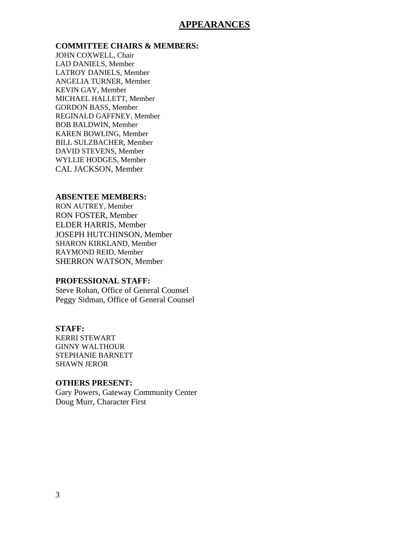## **APPEARANCES**

#### **COMMITTEE CHAIRS & MEMBERS:**

JOHN COXWELL, Chair LAD DANIELS, Member LATROY DANIELS, Member ANGELIA TURNER, Member KEVIN GAY, Member MICHAEL HALLETT, Member GORDON BASS, Member REGINALD GAFFNEY, Member BOB BALDWIN, Member KAREN BOWLING, Member BILL SULZBACHER, Member DAVID STEVENS, Member WYLLIE HODGES, Member CAL JACKSON, Member

#### **ABSENTEE MEMBERS:**

RON AUTREY, Member RON FOSTER, Member ELDER HARRIS, Member JOSEPH HUTCHINSON, Member SHARON KIRKLAND, Member RAYMOND REID, Member SHERRON WATSON, Member

#### **PROFESSIONAL STAFF:**

Steve Rohan, Office of General Counsel Peggy Sidman, Office of General Counsel

#### **STAFF:**

KERRI STEWART GINNY WALTHOUR STEPHANIE BARNETT SHAWN JEROR

#### **OTHERS PRESENT:**

Gary Powers, Gateway Community Center Doug Murr, Character First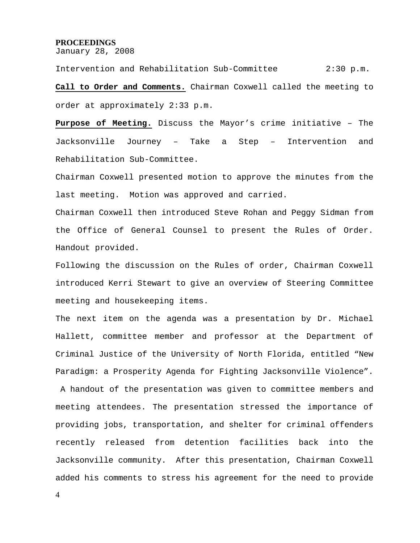#### **PROCEEDINGS**

January 28, 2008

Intervention and Rehabilitation Sub-Committee 2:30 p.m. **Call to Order and Comments.** Chairman Coxwell called the meeting to order at approximately 2:33 p.m.

**Purpose of Meeting.** Discuss the Mayor's crime initiative – The Jacksonville Journey – Take a Step – Intervention and Rehabilitation Sub-Committee.

Chairman Coxwell presented motion to approve the minutes from the last meeting. Motion was approved and carried.

Chairman Coxwell then introduced Steve Rohan and Peggy Sidman from the Office of General Counsel to present the Rules of Order. Handout provided.

Following the discussion on the Rules of order, Chairman Coxwell introduced Kerri Stewart to give an overview of Steering Committee meeting and housekeeping items.

The next item on the agenda was a presentation by Dr. Michael Hallett, committee member and professor at the Department of Criminal Justice of the University of North Florida, entitled "New Paradigm: a Prosperity Agenda for Fighting Jacksonville Violence".

 A handout of the presentation was given to committee members and meeting attendees. The presentation stressed the importance of providing jobs, transportation, and shelter for criminal offenders recently released from detention facilities back into the Jacksonville community. After this presentation, Chairman Coxwell added his comments to stress his agreement for the need to provide

4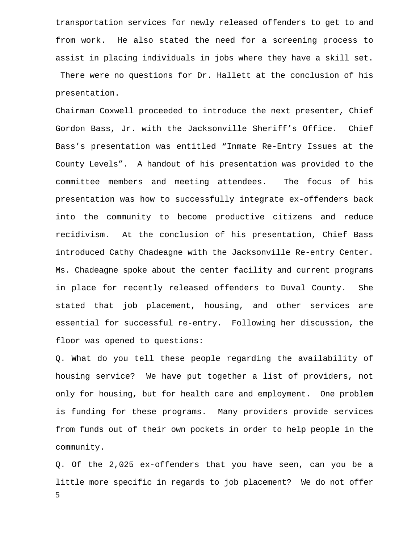transportation services for newly released offenders to get to and from work. He also stated the need for a screening process to assist in placing individuals in jobs where they have a skill set. There were no questions for Dr. Hallett at the conclusion of his presentation.

Chairman Coxwell proceeded to introduce the next presenter, Chief Gordon Bass, Jr. with the Jacksonville Sheriff's Office. Chief Bass's presentation was entitled "Inmate Re-Entry Issues at the County Levels". A handout of his presentation was provided to the committee members and meeting attendees. The focus of his presentation was how to successfully integrate ex-offenders back into the community to become productive citizens and reduce recidivism. At the conclusion of his presentation, Chief Bass introduced Cathy Chadeagne with the Jacksonville Re-entry Center. Ms. Chadeagne spoke about the center facility and current programs in place for recently released offenders to Duval County. She stated that job placement, housing, and other services are essential for successful re-entry. Following her discussion, the floor was opened to questions:

Q. What do you tell these people regarding the availability of housing service? We have put together a list of providers, not only for housing, but for health care and employment. One problem is funding for these programs. Many providers provide services from funds out of their own pockets in order to help people in the community.

5 Q. Of the 2,025 ex-offenders that you have seen, can you be a little more specific in regards to job placement? We do not offer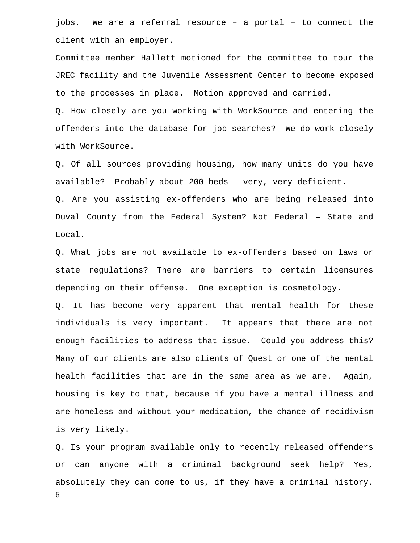jobs. We are a referral resource – a portal – to connect the client with an employer.

Committee member Hallett motioned for the committee to tour the JREC facility and the Juvenile Assessment Center to become exposed to the processes in place. Motion approved and carried.

Q. How closely are you working with WorkSource and entering the offenders into the database for job searches? We do work closely with WorkSource.

Q. Of all sources providing housing, how many units do you have available? Probably about 200 beds – very, very deficient.

Q. Are you assisting ex-offenders who are being released into Duval County from the Federal System? Not Federal – State and Local.

Q. What jobs are not available to ex-offenders based on laws or state regulations? There are barriers to certain licensures depending on their offense. One exception is cosmetology.

Q. It has become very apparent that mental health for these individuals is very important. It appears that there are not enough facilities to address that issue. Could you address this? Many of our clients are also clients of Quest or one of the mental health facilities that are in the same area as we are. Again, housing is key to that, because if you have a mental illness and are homeless and without your medication, the chance of recidivism is very likely.

6 Q. Is your program available only to recently released offenders or can anyone with a criminal background seek help? Yes, absolutely they can come to us, if they have a criminal history.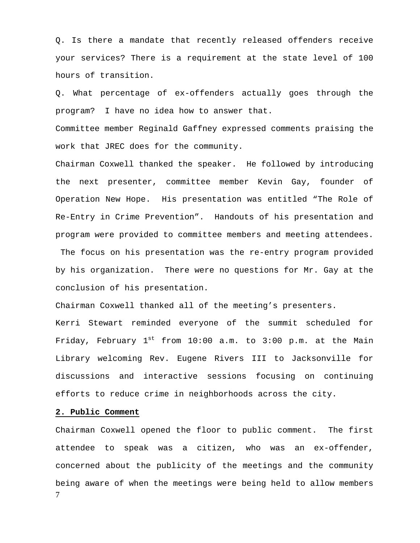Q. Is there a mandate that recently released offenders receive your services? There is a requirement at the state level of 100 hours of transition.

Q. What percentage of ex-offenders actually goes through the program? I have no idea how to answer that.

Committee member Reginald Gaffney expressed comments praising the work that JREC does for the community.

Chairman Coxwell thanked the speaker. He followed by introducing the next presenter, committee member Kevin Gay, founder of Operation New Hope. His presentation was entitled "The Role of Re-Entry in Crime Prevention". Handouts of his presentation and program were provided to committee members and meeting attendees. The focus on his presentation was the re-entry program provided

by his organization. There were no questions for Mr. Gay at the conclusion of his presentation.

Chairman Coxwell thanked all of the meeting's presenters.

Kerri Stewart reminded everyone of the summit scheduled for Friday, February  $1^{st}$  from 10:00 a.m. to 3:00 p.m. at the Main Library welcoming Rev. Eugene Rivers III to Jacksonville for discussions and interactive sessions focusing on continuing efforts to reduce crime in neighborhoods across the city.

#### **2. Public Comment**

7 Chairman Coxwell opened the floor to public comment. The first attendee to speak was a citizen, who was an ex-offender, concerned about the publicity of the meetings and the community being aware of when the meetings were being held to allow members